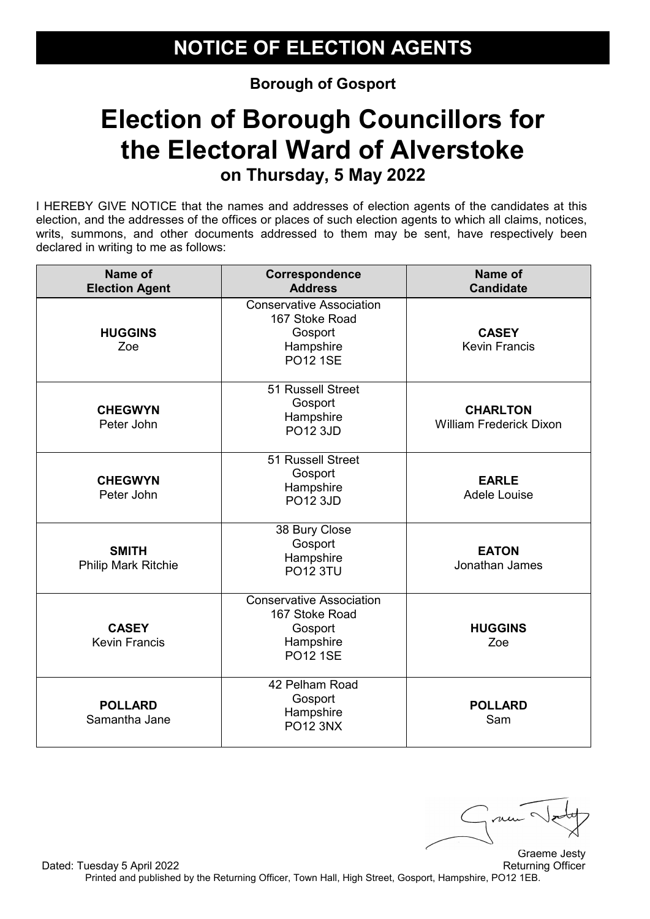# **Election of Borough Councillors for the Electoral Ward of Alverstoke on Thursday, 5 May 2022**

| Name of<br><b>Election Agent</b>     | Correspondence<br><b>Address</b>                                                             | Name of<br><b>Candidate</b>                       |
|--------------------------------------|----------------------------------------------------------------------------------------------|---------------------------------------------------|
| <b>HUGGINS</b><br>Zoe                | <b>Conservative Association</b><br>167 Stoke Road<br>Gosport<br>Hampshire<br><b>PO12 1SE</b> | <b>CASEY</b><br><b>Kevin Francis</b>              |
| <b>CHEGWYN</b><br>Peter John         | 51 Russell Street<br>Gosport<br>Hampshire<br><b>PO12 3JD</b>                                 | <b>CHARLTON</b><br><b>William Frederick Dixon</b> |
| <b>CHEGWYN</b><br>Peter John         | 51 Russell Street<br>Gosport<br>Hampshire<br><b>PO12 3JD</b>                                 | <b>EARLE</b><br><b>Adele Louise</b>               |
| <b>SMITH</b><br>Philip Mark Ritchie  | 38 Bury Close<br>Gosport<br>Hampshire<br><b>PO12 3TU</b>                                     | <b>EATON</b><br>Jonathan James                    |
| <b>CASEY</b><br><b>Kevin Francis</b> | <b>Conservative Association</b><br>167 Stoke Road<br>Gosport<br>Hampshire<br><b>PO12 1SE</b> | <b>HUGGINS</b><br>Zoe                             |
| <b>POLLARD</b><br>Samantha Jane      | 42 Pelham Road<br>Gosport<br>Hampshire<br><b>PO12 3NX</b>                                    | <b>POLLARD</b><br>Sam                             |

Graeme Jesty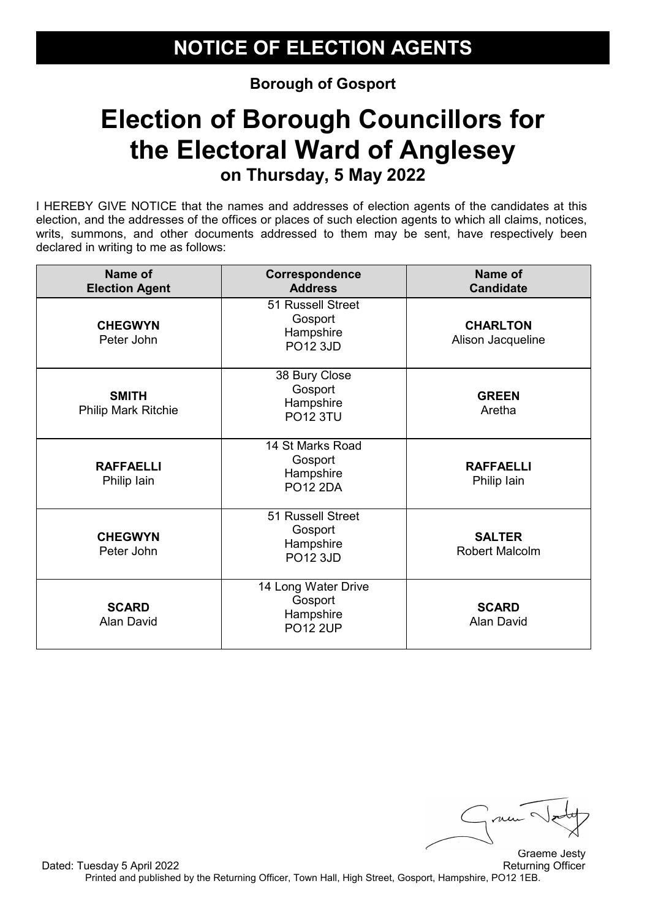#### **Election of Borough Councillors for the Electoral Ward of Anglesey on Thursday, 5 May 2022**

I HEREBY GIVE NOTICE that the names and addresses of election agents of the candidates at this election, and the addresses of the offices or places of such election agents to which all claims, notices, writs, summons, and other documents addressed to them may be sent, have respectively been declared in writing to me as follows:

| Name of<br><b>Election Agent</b>           | Correspondence<br><b>Address</b>                               | Name of<br><b>Candidate</b>            |
|--------------------------------------------|----------------------------------------------------------------|----------------------------------------|
| <b>CHEGWYN</b><br>Peter John               | 51 Russell Street<br>Gosport<br>Hampshire<br><b>PO12 3JD</b>   | <b>CHARLTON</b><br>Alison Jacqueline   |
| <b>SMITH</b><br><b>Philip Mark Ritchie</b> | 38 Bury Close<br>Gosport<br>Hampshire<br><b>PO12 3TU</b>       | <b>GREEN</b><br>Aretha                 |
| <b>RAFFAELLI</b><br>Philip lain            | 14 St Marks Road<br>Gosport<br>Hampshire<br><b>PO12 2DA</b>    | <b>RAFFAELLI</b><br>Philip lain        |
| <b>CHEGWYN</b><br>Peter John               | 51 Russell Street<br>Gosport<br>Hampshire<br><b>PO12 3JD</b>   | <b>SALTER</b><br><b>Robert Malcolm</b> |
| <b>SCARD</b><br>Alan David                 | 14 Long Water Drive<br>Gosport<br>Hampshire<br><b>PO12 2UP</b> | <b>SCARD</b><br>Alan David             |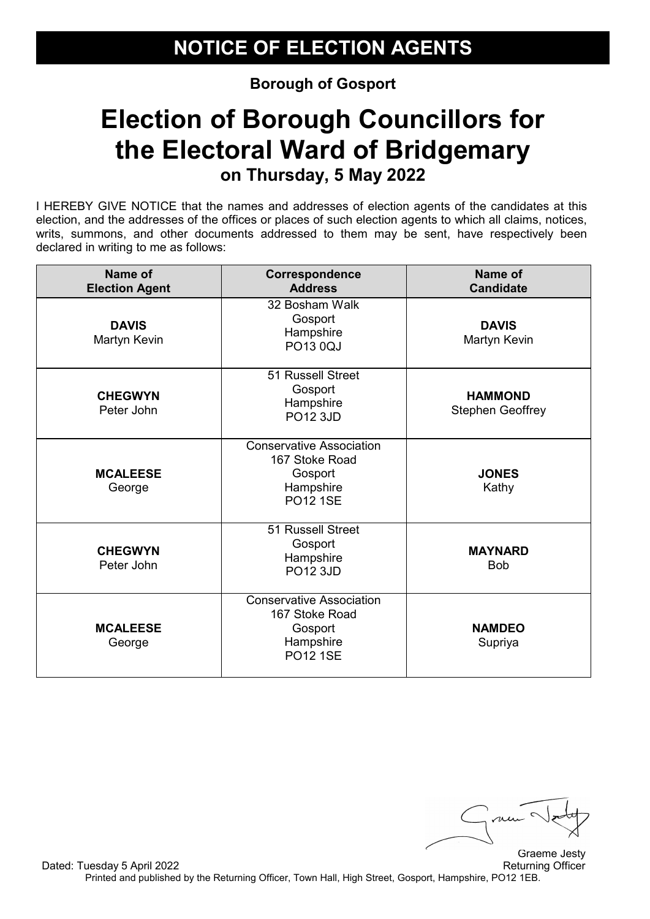#### **Election of Borough Councillors for the Electoral Ward of Bridgemary on Thursday, 5 May 2022**

I HEREBY GIVE NOTICE that the names and addresses of election agents of the candidates at this election, and the addresses of the offices or places of such election agents to which all claims, notices, writs, summons, and other documents addressed to them may be sent, have respectively been declared in writing to me as follows:

| Name of<br><b>Election Agent</b> | Correspondence<br><b>Address</b>                                                             | Name of<br><b>Candidate</b>               |
|----------------------------------|----------------------------------------------------------------------------------------------|-------------------------------------------|
| <b>DAVIS</b><br>Martyn Kevin     | 32 Bosham Walk<br>Gosport<br>Hampshire<br><b>PO13 0QJ</b>                                    | <b>DAVIS</b><br>Martyn Kevin              |
| <b>CHEGWYN</b><br>Peter John     | 51 Russell Street<br>Gosport<br>Hampshire<br><b>PO12 3JD</b>                                 | <b>HAMMOND</b><br><b>Stephen Geoffrey</b> |
| <b>MCALEESE</b><br>George        | <b>Conservative Association</b><br>167 Stoke Road<br>Gosport<br>Hampshire<br><b>PO12 1SE</b> | <b>JONES</b><br>Kathy                     |
| <b>CHEGWYN</b><br>Peter John     | 51 Russell Street<br>Gosport<br>Hampshire<br><b>PO12 3JD</b>                                 | <b>MAYNARD</b><br><b>Bob</b>              |
| <b>MCALEESE</b><br>George        | <b>Conservative Association</b><br>167 Stoke Road<br>Gosport<br>Hampshire<br><b>PO12 1SE</b> | <b>NAMDEO</b><br>Supriya                  |

me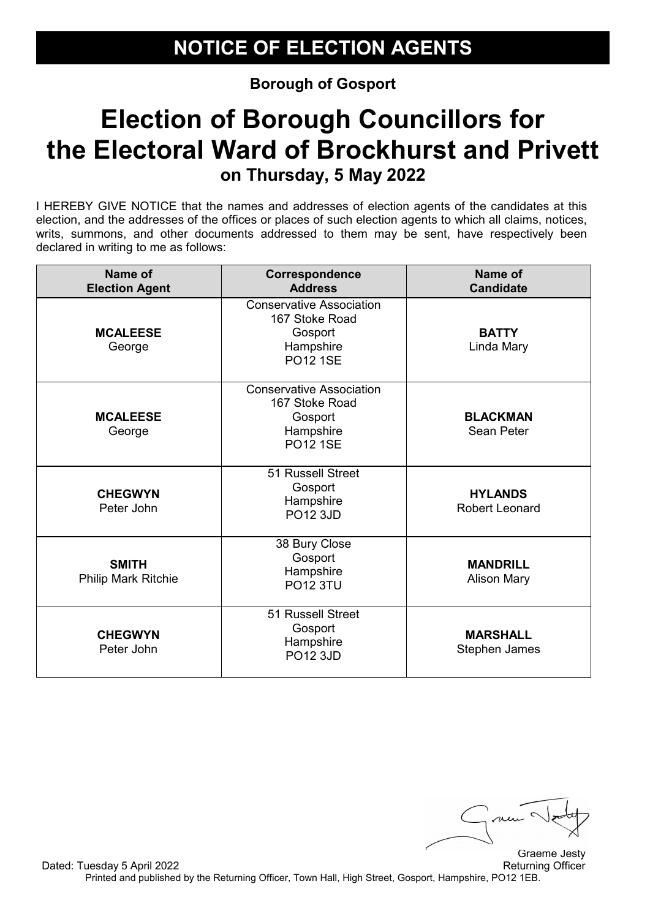# **Election of Borough Councillors for the Electoral Ward of Brockhurst and Privett on Thursday, 5 May 2022**

| Name of<br><b>Election Agent</b>           | Correspondence<br><b>Address</b>                                                             | Name of<br><b>Candidate</b>             |
|--------------------------------------------|----------------------------------------------------------------------------------------------|-----------------------------------------|
| <b>MCALEESE</b><br>George                  | <b>Conservative Association</b><br>167 Stoke Road<br>Gosport<br>Hampshire<br><b>PO12 1SE</b> | <b>BATTY</b><br>Linda Mary              |
| <b>MCALEESE</b><br>George                  | <b>Conservative Association</b><br>167 Stoke Road<br>Gosport<br>Hampshire<br><b>PO12 1SE</b> | <b>BLACKMAN</b><br>Sean Peter           |
| <b>CHEGWYN</b><br>Peter John               | 51 Russell Street<br>Gosport<br>Hampshire<br><b>PO12 3JD</b>                                 | <b>HYLANDS</b><br><b>Robert Leonard</b> |
| <b>SMITH</b><br><b>Philip Mark Ritchie</b> | 38 Bury Close<br>Gosport<br>Hampshire<br><b>PO12 3TU</b>                                     | <b>MANDRILL</b><br><b>Alison Mary</b>   |
| <b>CHEGWYN</b><br>Peter John               | 51 Russell Street<br>Gosport<br>Hampshire<br><b>PO12 3JD</b>                                 | <b>MARSHALL</b><br>Stephen James        |

Graeme Jesty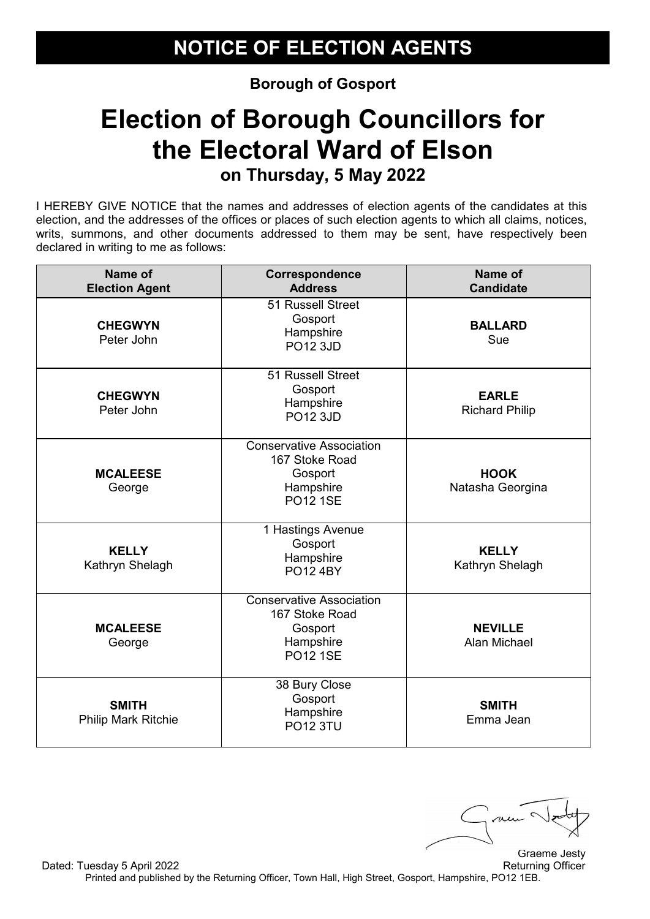# **Election of Borough Councillors for the Electoral Ward of Elson on Thursday, 5 May 2022**

I HEREBY GIVE NOTICE that the names and addresses of election agents of the candidates at this election, and the addresses of the offices or places of such election agents to which all claims, notices, writs, summons, and other documents addressed to them may be sent, have respectively been declared in writing to me as follows:

| Name of<br><b>Election Agent</b>    | Correspondence<br><b>Address</b>                                                             | Name of<br><b>Candidate</b>           |
|-------------------------------------|----------------------------------------------------------------------------------------------|---------------------------------------|
| <b>CHEGWYN</b><br>Peter John        | 51 Russell Street<br>Gosport<br>Hampshire<br>PO12 3JD                                        | <b>BALLARD</b><br>Sue                 |
| <b>CHEGWYN</b><br>Peter John        | 51 Russell Street<br>Gosport<br>Hampshire<br><b>PO12 3JD</b>                                 | <b>EARLE</b><br><b>Richard Philip</b> |
| <b>MCALEESE</b><br>George           | <b>Conservative Association</b><br>167 Stoke Road<br>Gosport<br>Hampshire<br><b>PO12 1SE</b> | <b>HOOK</b><br>Natasha Georgina       |
| <b>KELLY</b><br>Kathryn Shelagh     | 1 Hastings Avenue<br>Gosport<br>Hampshire<br><b>PO12 4BY</b>                                 | <b>KELLY</b><br>Kathryn Shelagh       |
| <b>MCALEESE</b><br>George           | <b>Conservative Association</b><br>167 Stoke Road<br>Gosport<br>Hampshire<br><b>PO12 1SE</b> | <b>NEVILLE</b><br>Alan Michael        |
| <b>SMITH</b><br>Philip Mark Ritchie | 38 Bury Close<br>Gosport<br>Hampshire<br><b>PO12 3TU</b>                                     | <b>SMITH</b><br>Emma Jean             |

Graeme Jesty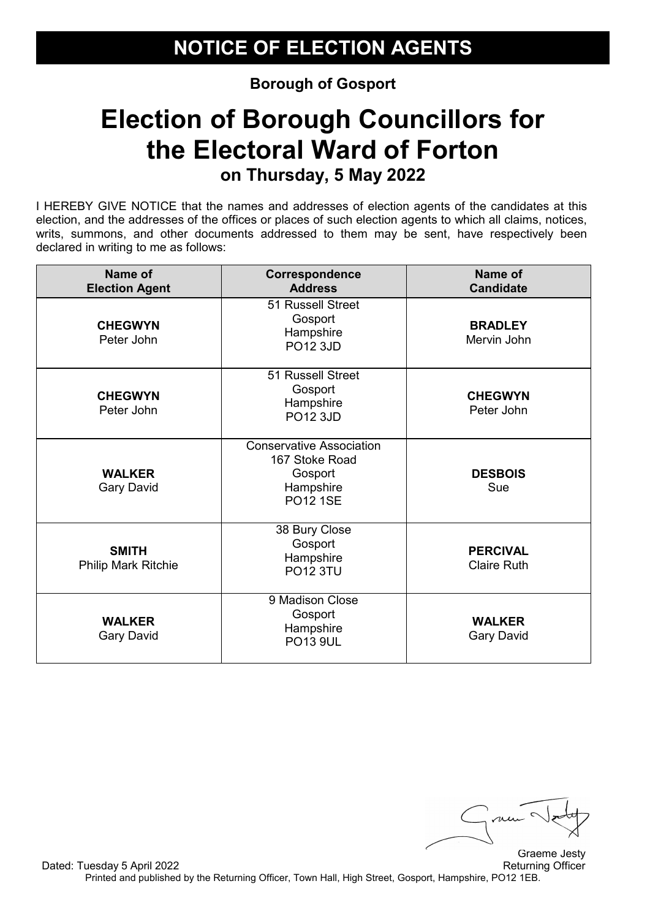# **Election of Borough Councillors for the Electoral Ward of Forton on Thursday, 5 May 2022**

I HEREBY GIVE NOTICE that the names and addresses of election agents of the candidates at this election, and the addresses of the offices or places of such election agents to which all claims, notices, writs, summons, and other documents addressed to them may be sent, have respectively been declared in writing to me as follows:

| Name of<br><b>Election Agent</b>           | Correspondence<br><b>Address</b>                                                             | Name of<br><b>Candidate</b>           |
|--------------------------------------------|----------------------------------------------------------------------------------------------|---------------------------------------|
| <b>CHEGWYN</b><br>Peter John               | 51 Russell Street<br>Gosport<br>Hampshire<br><b>PO12 3JD</b>                                 | <b>BRADLEY</b><br>Mervin John         |
| <b>CHEGWYN</b><br>Peter John               | 51 Russell Street<br>Gosport<br>Hampshire<br><b>PO12 3JD</b>                                 | <b>CHEGWYN</b><br>Peter John          |
| <b>WALKER</b><br><b>Gary David</b>         | <b>Conservative Association</b><br>167 Stoke Road<br>Gosport<br>Hampshire<br><b>PO12 1SE</b> | <b>DESBOIS</b><br>Sue                 |
| <b>SMITH</b><br><b>Philip Mark Ritchie</b> | 38 Bury Close<br>Gosport<br>Hampshire<br><b>PO12 3TU</b>                                     | <b>PERCIVAL</b><br><b>Claire Ruth</b> |
| <b>WALKER</b><br><b>Gary David</b>         | 9 Madison Close<br>Gosport<br>Hampshire<br><b>PO13 9UL</b>                                   | <b>WALKER</b><br><b>Gary David</b>    |

me Graeme Jesty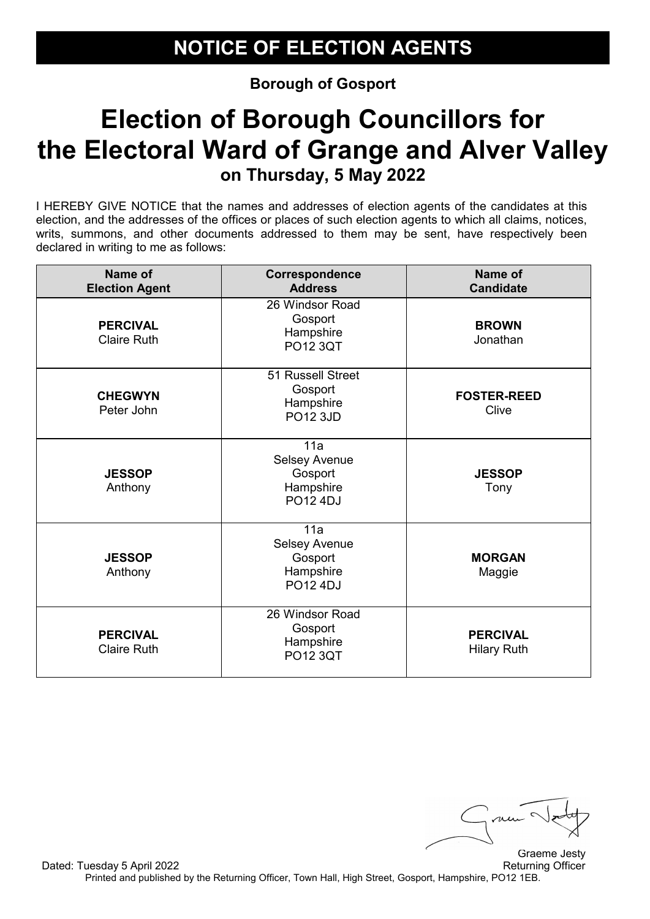# **Election of Borough Councillors for the Electoral Ward of Grange and Alver Valley on Thursday, 5 May 2022**

| <b>Name of</b><br><b>Election Agent</b> | Correspondence<br><b>Address</b>                                | Name of<br><b>Candidate</b>           |
|-----------------------------------------|-----------------------------------------------------------------|---------------------------------------|
| <b>PERCIVAL</b><br><b>Claire Ruth</b>   | 26 Windsor Road<br>Gosport<br>Hampshire<br>PO12 3QT             | <b>BROWN</b><br>Jonathan              |
| <b>CHEGWYN</b><br>Peter John            | 51 Russell Street<br>Gosport<br>Hampshire<br><b>PO12 3JD</b>    | <b>FOSTER-REED</b><br>Clive           |
| <b>JESSOP</b><br>Anthony                | 11a<br><b>Selsey Avenue</b><br>Gosport<br>Hampshire<br>PO12 4DJ | <b>JESSOP</b><br>Tony                 |
| <b>JESSOP</b><br>Anthony                | 11a<br><b>Selsey Avenue</b><br>Gosport<br>Hampshire<br>PO12 4DJ | <b>MORGAN</b><br>Maggie               |
| <b>PERCIVAL</b><br><b>Claire Ruth</b>   | 26 Windsor Road<br>Gosport<br>Hampshire<br><b>PO12 3QT</b>      | <b>PERCIVAL</b><br><b>Hilary Ruth</b> |

Graeme Jesty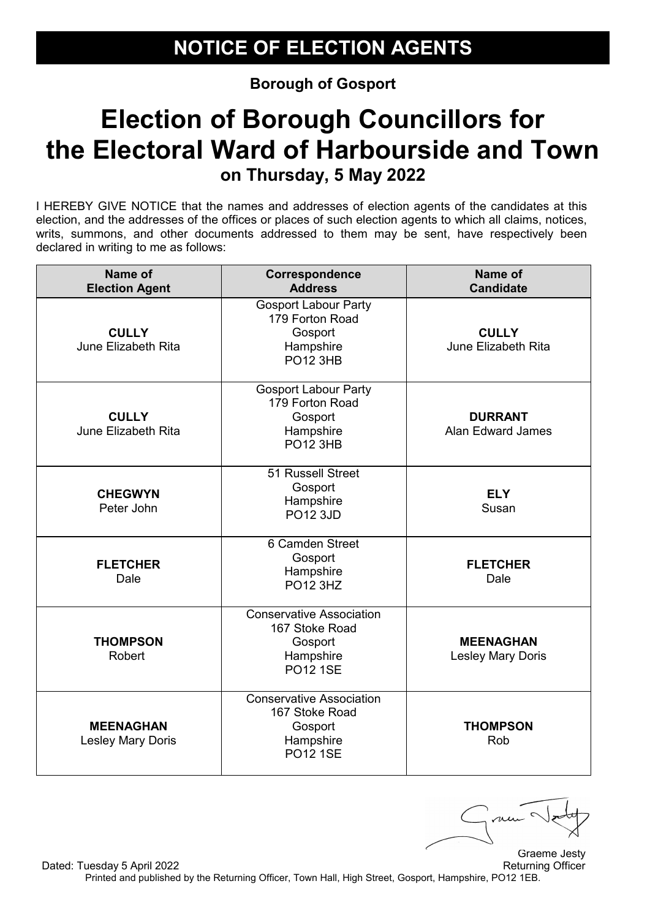# **Election of Borough Councillors for the Electoral Ward of Harbourside and Town on Thursday, 5 May 2022**

I HEREBY GIVE NOTICE that the names and addresses of election agents of the candidates at this election, and the addresses of the offices or places of such election agents to which all claims, notices, writs, summons, and other documents addressed to them may be sent, have respectively been declared in writing to me as follows:

| Name of<br><b>Election Agent</b>      | Correspondence<br><b>Address</b>                                                             | <b>Name of</b><br><b>Candidate</b>         |
|---------------------------------------|----------------------------------------------------------------------------------------------|--------------------------------------------|
| <b>CULLY</b><br>June Elizabeth Rita   | <b>Gosport Labour Party</b><br>179 Forton Road<br>Gosport<br>Hampshire<br><b>PO12 3HB</b>    | <b>CULLY</b><br>June Elizabeth Rita        |
| <b>CULLY</b><br>June Elizabeth Rita   | <b>Gosport Labour Party</b><br>179 Forton Road<br>Gosport<br>Hampshire<br><b>PO12 3HB</b>    | <b>DURRANT</b><br><b>Alan Edward James</b> |
| <b>CHEGWYN</b><br>Peter John          | 51 Russell Street<br>Gosport<br>Hampshire<br><b>PO12 3JD</b>                                 | <b>ELY</b><br>Susan                        |
| <b>FLETCHER</b><br>Dale               | 6 Camden Street<br>Gosport<br>Hampshire<br><b>PO12 3HZ</b>                                   | <b>FLETCHER</b><br>Dale                    |
| <b>THOMPSON</b><br>Robert             | <b>Conservative Association</b><br>167 Stoke Road<br>Gosport<br>Hampshire<br><b>PO12 1SE</b> | <b>MEENAGHAN</b><br>Lesley Mary Doris      |
| <b>MEENAGHAN</b><br>Lesley Mary Doris | <b>Conservative Association</b><br>167 Stoke Road<br>Gosport<br>Hampshire<br><b>PO12 1SE</b> | <b>THOMPSON</b><br>Rob                     |

ni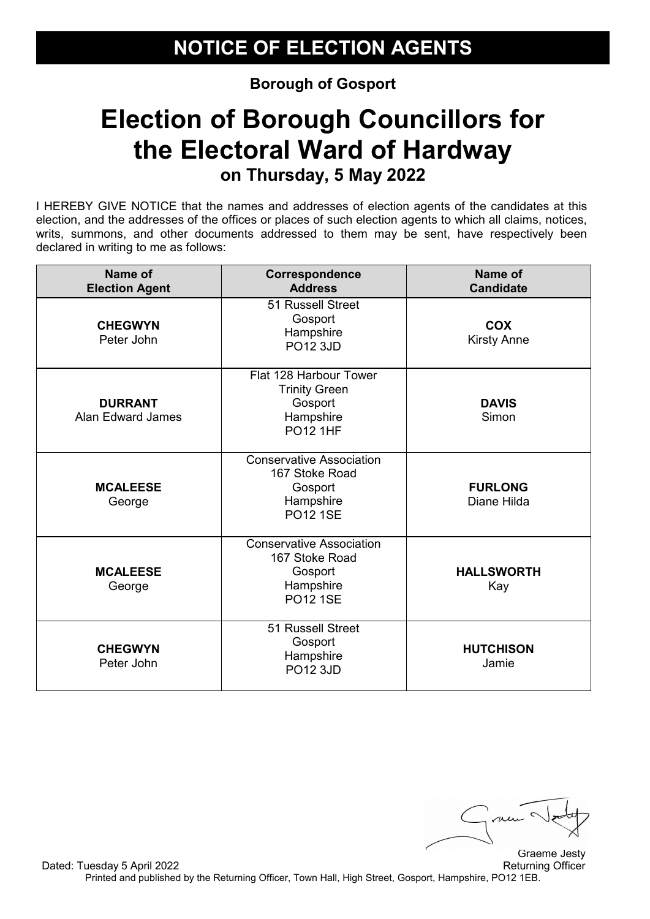#### **Election of Borough Councillors for the Electoral Ward of Hardway on Thursday, 5 May 2022**

| Name of<br><b>Election Agent</b>           | Correspondence<br><b>Address</b>                                                             | <b>Name of</b><br><b>Candidate</b> |
|--------------------------------------------|----------------------------------------------------------------------------------------------|------------------------------------|
| <b>CHEGWYN</b><br>Peter John               | 51 Russell Street<br>Gosport<br>Hampshire<br><b>PO12 3JD</b>                                 | <b>COX</b><br><b>Kirsty Anne</b>   |
| <b>DURRANT</b><br><b>Alan Edward James</b> | Flat 128 Harbour Tower<br><b>Trinity Green</b><br>Gosport<br>Hampshire<br><b>PO12 1HF</b>    | <b>DAVIS</b><br>Simon              |
| <b>MCALEESE</b><br>George                  | <b>Conservative Association</b><br>167 Stoke Road<br>Gosport<br>Hampshire<br><b>PO12 1SE</b> | <b>FURLONG</b><br>Diane Hilda      |
| <b>MCALEESE</b><br>George                  | <b>Conservative Association</b><br>167 Stoke Road<br>Gosport<br>Hampshire<br><b>PO12 1SE</b> | <b>HALLSWORTH</b><br>Kay           |
| <b>CHEGWYN</b><br>Peter John               | 51 Russell Street<br>Gosport<br>Hampshire<br><b>PO12 3JD</b>                                 | <b>HUTCHISON</b><br>Jamie          |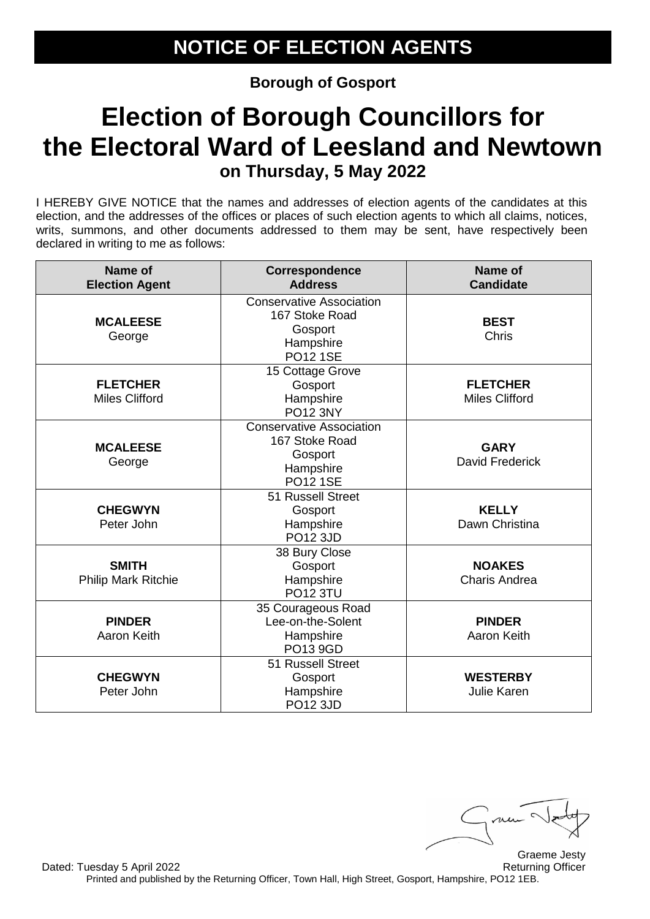# **Election of Borough Councillors for the Electoral Ward of Leesland and Newtown on Thursday, 5 May 2022**

| Name of<br><b>Election Agent</b>         | Correspondence<br><b>Address</b>                                                             | Name of<br><b>Candidate</b>              |
|------------------------------------------|----------------------------------------------------------------------------------------------|------------------------------------------|
| <b>MCALEESE</b><br>George                | <b>Conservative Association</b><br>167 Stoke Road<br>Gosport<br>Hampshire<br><b>PO12 1SE</b> | <b>BEST</b><br>Chris                     |
| <b>FLETCHER</b><br><b>Miles Clifford</b> | 15 Cottage Grove<br>Gosport<br>Hampshire<br><b>PO12 3NY</b>                                  | <b>FLETCHER</b><br><b>Miles Clifford</b> |
| <b>MCALEESE</b><br>George                | <b>Conservative Association</b><br>167 Stoke Road<br>Gosport<br>Hampshire<br><b>PO12 1SE</b> | <b>GARY</b><br>David Frederick           |
| <b>CHEGWYN</b><br>Peter John             | 51 Russell Street<br>Gosport<br>Hampshire<br><b>PO12 3JD</b>                                 | <b>KELLY</b><br>Dawn Christina           |
| <b>SMITH</b><br>Philip Mark Ritchie      | 38 Bury Close<br>Gosport<br>Hampshire<br><b>PO12 3TU</b>                                     | <b>NOAKES</b><br><b>Charis Andrea</b>    |
| <b>PINDER</b><br>Aaron Keith             | 35 Courageous Road<br>Lee-on-the-Solent<br>Hampshire<br>PO13 9GD                             | <b>PINDER</b><br>Aaron Keith             |
| <b>CHEGWYN</b><br>Peter John             | 51 Russell Street<br>Gosport<br>Hampshire<br><b>PO12 3JD</b>                                 | <b>WESTERBY</b><br>Julie Karen           |

Graeme Jesty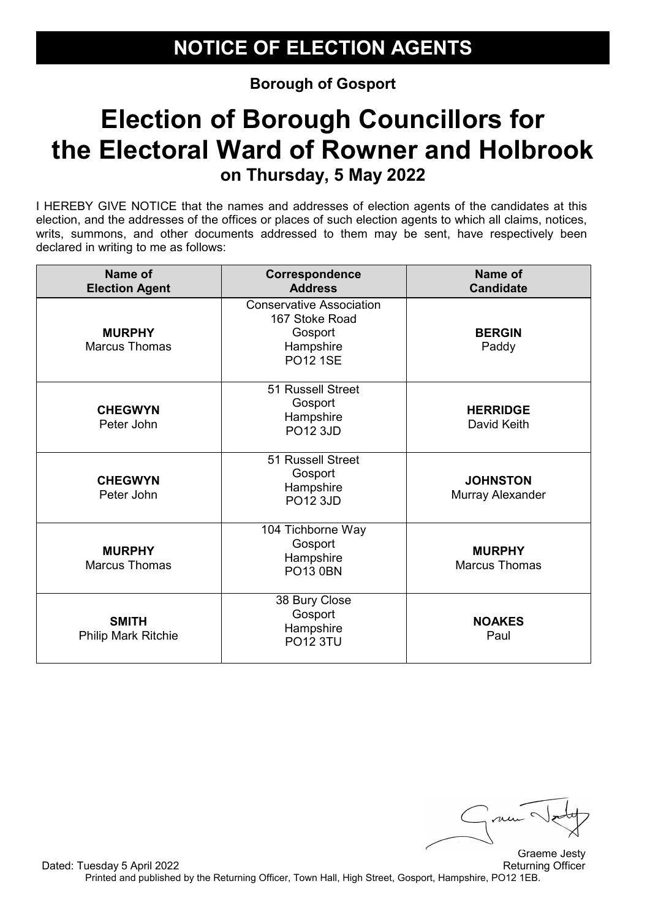# **Election of Borough Councillors for the Electoral Ward of Rowner and Holbrook on Thursday, 5 May 2022**

| Name of<br><b>Election Agent</b>           | Correspondence<br><b>Address</b>                                                             | Name of<br><b>Candidate</b>           |
|--------------------------------------------|----------------------------------------------------------------------------------------------|---------------------------------------|
| <b>MURPHY</b><br><b>Marcus Thomas</b>      | <b>Conservative Association</b><br>167 Stoke Road<br>Gosport<br>Hampshire<br><b>PO12 1SE</b> | <b>BERGIN</b><br>Paddy                |
| <b>CHEGWYN</b><br>Peter John               | 51 Russell Street<br>Gosport<br>Hampshire<br><b>PO12 3JD</b>                                 | <b>HERRIDGE</b><br>David Keith        |
| <b>CHEGWYN</b><br>Peter John               | 51 Russell Street<br>Gosport<br>Hampshire<br>PO12 3JD                                        | <b>JOHNSTON</b><br>Murray Alexander   |
| <b>MURPHY</b><br><b>Marcus Thomas</b>      | 104 Tichborne Way<br>Gosport<br>Hampshire<br><b>PO13 0BN</b>                                 | <b>MURPHY</b><br><b>Marcus Thomas</b> |
| <b>SMITH</b><br><b>Philip Mark Ritchie</b> | 38 Bury Close<br>Gosport<br>Hampshire<br><b>PO12 3TU</b>                                     | <b>NOAKES</b><br>Paul                 |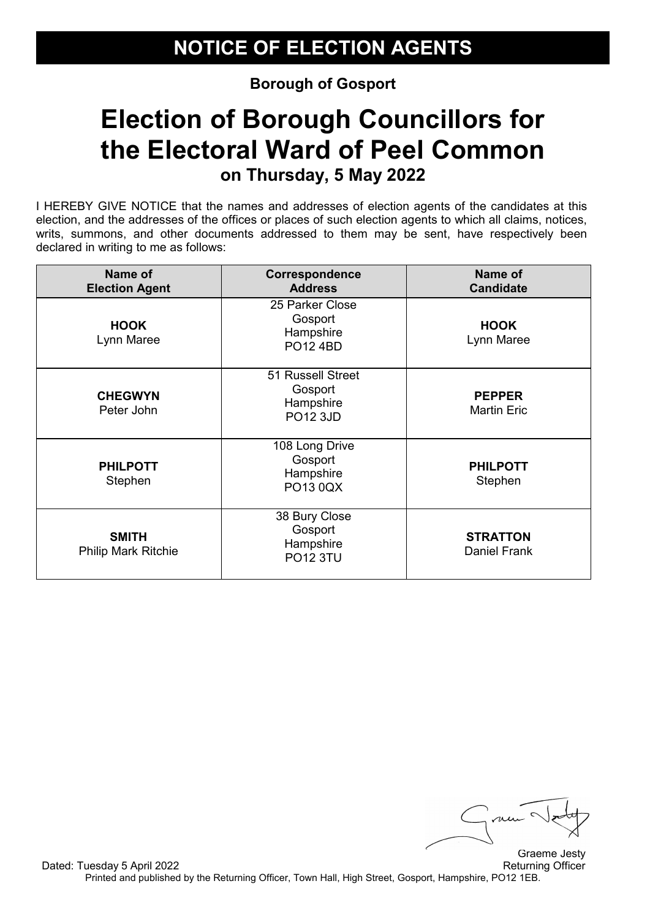# **Election of Borough Councillors for the Electoral Ward of Peel Common on Thursday, 5 May 2022**

| Name of<br><b>Election Agent</b>           | Correspondence<br><b>Address</b>                             | Name of<br><b>Candidate</b>            |
|--------------------------------------------|--------------------------------------------------------------|----------------------------------------|
| <b>HOOK</b><br>Lynn Maree                  | 25 Parker Close<br>Gosport<br>Hampshire<br><b>PO12 4BD</b>   | <b>HOOK</b><br>Lynn Maree              |
| <b>CHEGWYN</b><br>Peter John               | 51 Russell Street<br>Gosport<br>Hampshire<br><b>PO12 3JD</b> | <b>PEPPER</b><br><b>Martin Eric</b>    |
| <b>PHILPOTT</b><br>Stephen                 | 108 Long Drive<br>Gosport<br>Hampshire<br>PO13 0QX           | <b>PHILPOTT</b><br>Stephen             |
| <b>SMITH</b><br><b>Philip Mark Ritchie</b> | 38 Bury Close<br>Gosport<br>Hampshire<br><b>PO12 3TU</b>     | <b>STRATTON</b><br><b>Daniel Frank</b> |

 $\mu\mu$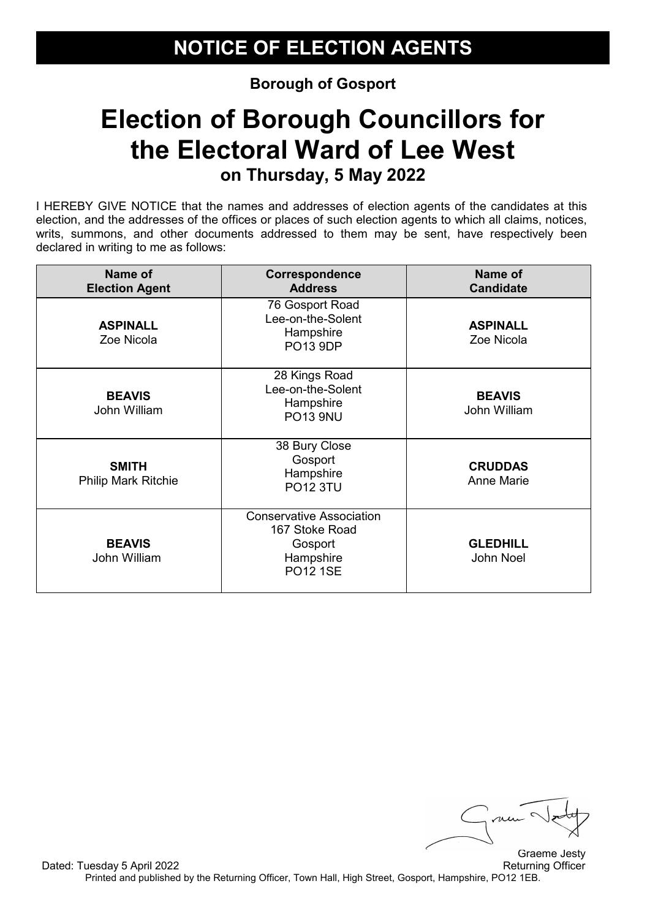# **Election of Borough Councillors for the Electoral Ward of Lee West on Thursday, 5 May 2022**

| Name of<br><b>Election Agent</b>           | <b>Correspondence</b><br><b>Address</b>                                                      | Name of<br><b>Candidate</b>         |
|--------------------------------------------|----------------------------------------------------------------------------------------------|-------------------------------------|
| <b>ASPINALL</b><br>Zoe Nicola              | 76 Gosport Road<br>Lee-on-the-Solent<br>Hampshire<br><b>PO13 9DP</b>                         | <b>ASPINALL</b><br>Zoe Nicola       |
| <b>BEAVIS</b><br>John William              | 28 Kings Road<br>Lee-on-the-Solent<br>Hampshire<br><b>PO13 9NU</b>                           | <b>BEAVIS</b><br>John William       |
| <b>SMITH</b><br><b>Philip Mark Ritchie</b> | 38 Bury Close<br>Gosport<br>Hampshire<br><b>PO12 3TU</b>                                     | <b>CRUDDAS</b><br><b>Anne Marie</b> |
| <b>BEAVIS</b><br>John William              | <b>Conservative Association</b><br>167 Stoke Road<br>Gosport<br>Hampshire<br><b>PO12 1SE</b> | <b>GLEDHILL</b><br>John Noel        |

me